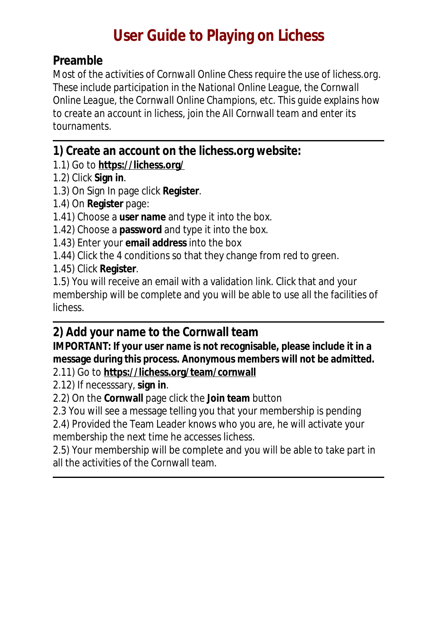## **User Guide to Playing on Lichess**

## **Preamble**

*Most of the activities of Cornwall Online Chess require the use of lichess.org. These include participation in the National Online League, the Cornwall Online League, the Cornwall Online Champions, etc. This guide explains how to create an account in lichess, join the All Cornwall team and enter its tournaments.* 

**1) Create an account on the lichess.org website:** 

1.1) Go to **<https://lichess.org/>**

1.2) Click **Sign in**.

1.3) On Sign In page click **Register**.

1.4) On **Register** page:

1.41) Choose a **user name** and type it into the box.

1.42) Choose a **password** and type it into the box.

1.43) Enter your **email address** into the box

1.44) Click the 4 conditions so that they change from red to green.

1.45) Click **Register**.

1.5) You will receive an email with a validation link. Click that and your membership will be complete and you will be able to use all the facilities of lichess.

## **2) Add your name to the Cornwall team**

**IMPORTANT: If your user name is not recognisable, please include it in a message during this process. Anonymous members will not be admitted.**

2.11) Go to **<https://lichess.org/team/cornwall>**

2.12) If necesssary, **sign in**.

2.2) On the **Cornwall** page click the **Join team** button

2.3 You will see a message telling you that your membership is pending

2.4) Provided the Team Leader knows who you are, he will activate your membership the next time he accesses lichess.

2.5) Your membership will be complete and you will be able to take part in all the activities of the Cornwall team.